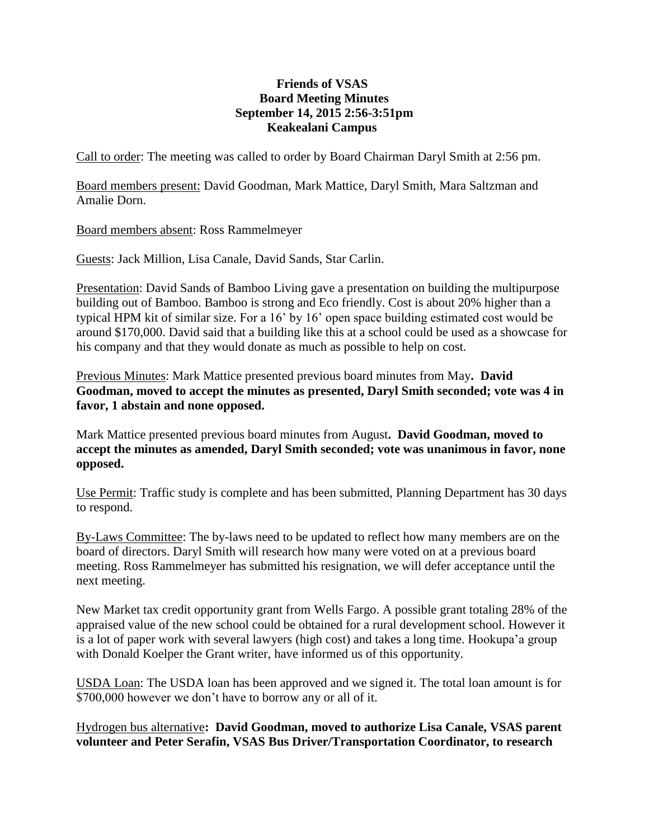## **Friends of VSAS Board Meeting Minutes September 14, 2015 2:56-3:51pm Keakealani Campus**

Call to order: The meeting was called to order by Board Chairman Daryl Smith at 2:56 pm.

Board members present: David Goodman, Mark Mattice, Daryl Smith, Mara Saltzman and Amalie Dorn.

Board members absent: Ross Rammelmeyer

Guests: Jack Million, Lisa Canale, David Sands, Star Carlin.

Presentation: David Sands of Bamboo Living gave a presentation on building the multipurpose building out of Bamboo. Bamboo is strong and Eco friendly. Cost is about 20% higher than a typical HPM kit of similar size. For a 16' by 16' open space building estimated cost would be around \$170,000. David said that a building like this at a school could be used as a showcase for his company and that they would donate as much as possible to help on cost.

Previous Minutes: Mark Mattice presented previous board minutes from May**. David Goodman, moved to accept the minutes as presented, Daryl Smith seconded; vote was 4 in favor, 1 abstain and none opposed.**

Mark Mattice presented previous board minutes from August**. David Goodman, moved to accept the minutes as amended, Daryl Smith seconded; vote was unanimous in favor, none opposed.**

Use Permit: Traffic study is complete and has been submitted, Planning Department has 30 days to respond.

By-Laws Committee: The by-laws need to be updated to reflect how many members are on the board of directors. Daryl Smith will research how many were voted on at a previous board meeting. Ross Rammelmeyer has submitted his resignation, we will defer acceptance until the next meeting.

New Market tax credit opportunity grant from Wells Fargo. A possible grant totaling 28% of the appraised value of the new school could be obtained for a rural development school. However it is a lot of paper work with several lawyers (high cost) and takes a long time. Hookupa'a group with Donald Koelper the Grant writer, have informed us of this opportunity.

USDA Loan: The USDA loan has been approved and we signed it. The total loan amount is for \$700,000 however we don't have to borrow any or all of it.

Hydrogen bus alternative**: David Goodman, moved to authorize Lisa Canale, VSAS parent volunteer and Peter Serafin, VSAS Bus Driver/Transportation Coordinator, to research**